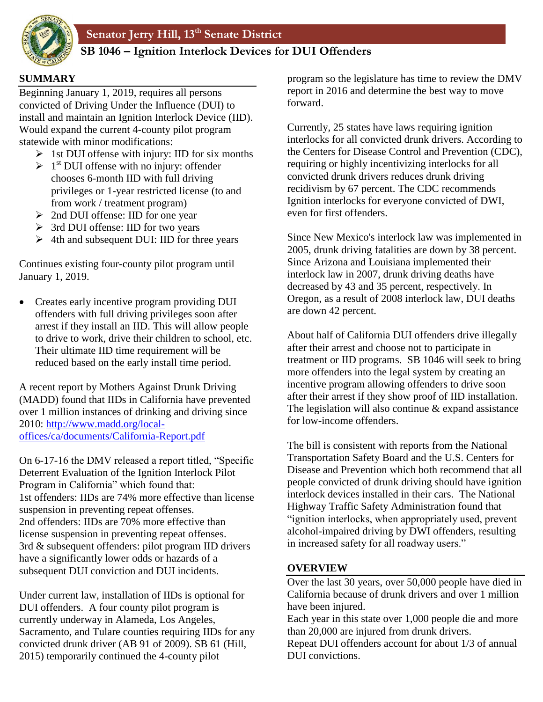

# **AB 861 SB 1046 – Ignition Interlock Devices for DUI Offenders**

### **SUMMARY**

Beginning January 1, 2019, requires all persons convicted of Driving Under the Influence (DUI) to install and maintain an Ignition Interlock Device (IID). Would expand the current 4-county pilot program statewide with minor modifications:

- $\triangleright$  1st DUI offense with injury: IID for six months
- $\geq 1^{\text{st}}$  DUI offense with no injury: offender chooses 6-month IID with full driving privileges or 1-year restricted license (to and from work / treatment program)
- 2nd DUI offense: IID for one year
- 3rd DUI offense: IID for two years
- $\geq 4$ th and subsequent DUI: IID for three years

Continues existing four-county pilot program until January 1, 2019.

• Creates early incentive program providing DUI offenders with full driving privileges soon after arrest if they install an IID. This will allow people to drive to work, drive their children to school, etc. Their ultimate IID time requirement will be reduced based on the early install time period.

A recent report by Mothers Against Drunk Driving (MADD) found that IIDs in California have prevented over 1 million instances of drinking and driving since 2010: [http://www.madd.org/local](http://www.madd.org/local-offices/ca/documents/California-Report.pdf)[offices/ca/documents/California-Report.pdf](http://www.madd.org/local-offices/ca/documents/California-Report.pdf)

On 6-17-16 the DMV released a report titled, "Specific Deterrent Evaluation of the Ignition Interlock Pilot Program in California" which found that: 1st offenders: IIDs are 74% more effective than license suspension in preventing repeat offenses. 2nd offenders: IIDs are 70% more effective than license suspension in preventing repeat offenses. 3rd & subsequent offenders: pilot program IID drivers have a significantly lower odds or hazards of a subsequent DUI conviction and DUI incidents.

Under current law, installation of IIDs is optional for DUI offenders. A four county pilot program is currently underway in Alameda, Los Angeles, Sacramento, and Tulare counties requiring IIDs for any convicted drunk driver (AB 91 of 2009). SB 61 (Hill, 2015) temporarily continued the 4-county pilot

program so the legislature has time to review the DMV report in 2016 and determine the best way to move forward.

Currently, 25 states have laws requiring ignition interlocks for all convicted drunk drivers. According to the Centers for Disease Control and Prevention (CDC), requiring or highly incentivizing interlocks for all convicted drunk drivers reduces drunk driving recidivism by 67 percent. The CDC recommends Ignition interlocks for everyone convicted of DWI, even for first offenders.

Since New Mexico's interlock law was implemented in 2005, drunk driving fatalities are down by 38 percent. Since Arizona and Louisiana implemented their interlock law in 2007, drunk driving deaths have decreased by 43 and 35 percent, respectively. In Oregon, as a result of 2008 interlock law, DUI deaths are down 42 percent.

About half of California DUI offenders drive illegally after their arrest and choose not to participate in treatment or IID programs. SB 1046 will seek to bring more offenders into the legal system by creating an incentive program allowing offenders to drive soon after their arrest if they show proof of IID installation. The legislation will also continue & expand assistance for low-income offenders.

The bill is consistent with reports from the National Transportation Safety Board and the U.S. Centers for Disease and Prevention which both recommend that all people convicted of drunk driving should have ignition interlock devices installed in their cars. The National Highway Traffic Safety Administration found that "ignition interlocks, when appropriately used, prevent alcohol-impaired driving by DWI offenders, resulting in increased safety for all roadway users."

### **OVERVIEW**

Over the last 30 years, over 50,000 people have died in California because of drunk drivers and over 1 million have been injured.

Each year in this state over 1,000 people die and more than 20,000 are injured from drunk drivers.

Repeat DUI offenders account for about 1/3 of annual DUI convictions.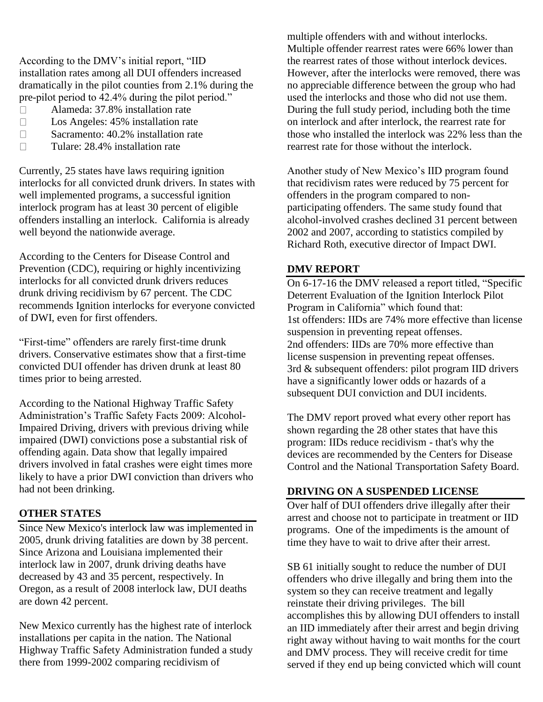According to the DMV's initial report, "IID installation rates among all DUI offenders increased dramatically in the pilot counties from 2.1% during the pre-pilot period to 42.4% during the pilot period."

- Alameda: 37.8% installation rate  $\Box$
- $\Box$ Los Angeles: 45% installation rate
- $\Box$ Sacramento: 40.2% installation rate
- Tulare: 28.4% installation rate  $\Box$

Currently, 25 states have laws requiring ignition interlocks for all convicted drunk drivers. In states with well implemented programs, a successful ignition interlock program has at least 30 percent of eligible offenders installing an interlock. California is already well beyond the nationwide average.

According to the Centers for Disease Control and Prevention (CDC), requiring or highly incentivizing interlocks for all convicted drunk drivers reduces drunk driving recidivism by 67 percent. The CDC recommends Ignition interlocks for everyone convicted of DWI, even for first offenders.

"First-time" offenders are rarely first-time drunk drivers. Conservative estimates show that a first-time convicted DUI offender has driven drunk at least 80 times prior to being arrested.

According to the National Highway Traffic Safety Administration's Traffic Safety Facts 2009: Alcohol-Impaired Driving, drivers with previous driving while impaired (DWI) convictions pose a substantial risk of offending again. Data show that legally impaired drivers involved in fatal crashes were eight times more likely to have a prior DWI conviction than drivers who had not been drinking.

#### **OTHER STATES**

Since New Mexico's interlock law was implemented in 2005, drunk driving fatalities are down by 38 percent. Since Arizona and Louisiana implemented their interlock law in 2007, drunk driving deaths have decreased by 43 and 35 percent, respectively. In Oregon, as a result of 2008 interlock law, DUI deaths are down 42 percent.

New Mexico currently has the highest rate of interlock installations per capita in the nation. The National Highway Traffic Safety Administration funded a study there from 1999-2002 comparing recidivism of

multiple offenders with and without interlocks. Multiple offender rearrest rates were 66% lower than the rearrest rates of those without interlock devices. However, after the interlocks were removed, there was no appreciable difference between the group who had used the interlocks and those who did not use them. During the full study period, including both the time on interlock and after interlock, the rearrest rate for those who installed the interlock was 22% less than the rearrest rate for those without the interlock.

Another study of New Mexico's IID program found that recidivism rates were reduced by 75 percent for offenders in the program compared to nonparticipating offenders. The same study found that alcohol-involved crashes declined 31 percent between 2002 and 2007, according to statistics compiled by Richard Roth, executive director of Impact DWI.

#### **DMV REPORT**

On 6-17-16 the DMV released a report titled, "Specific Deterrent Evaluation of the Ignition Interlock Pilot Program in California" which found that: 1st offenders: IIDs are 74% more effective than license suspension in preventing repeat offenses. 2nd offenders: IIDs are 70% more effective than license suspension in preventing repeat offenses. 3rd & subsequent offenders: pilot program IID drivers have a significantly lower odds or hazards of a subsequent DUI conviction and DUI incidents.

The DMV report proved what every other report has shown regarding the 28 other states that have this program: IIDs reduce recidivism - that's why the devices are recommended by the Centers for Disease Control and the National Transportation Safety Board.

#### **DRIVING ON A SUSPENDED LICENSE**

Over half of DUI offenders drive illegally after their arrest and choose not to participate in treatment or IID programs. One of the impediments is the amount of time they have to wait to drive after their arrest.

SB 61 initially sought to reduce the number of DUI offenders who drive illegally and bring them into the system so they can receive treatment and legally reinstate their driving privileges. The bill accomplishes this by allowing DUI offenders to install an IID immediately after their arrest and begin driving right away without having to wait months for the court and DMV process. They will receive credit for time served if they end up being convicted which will count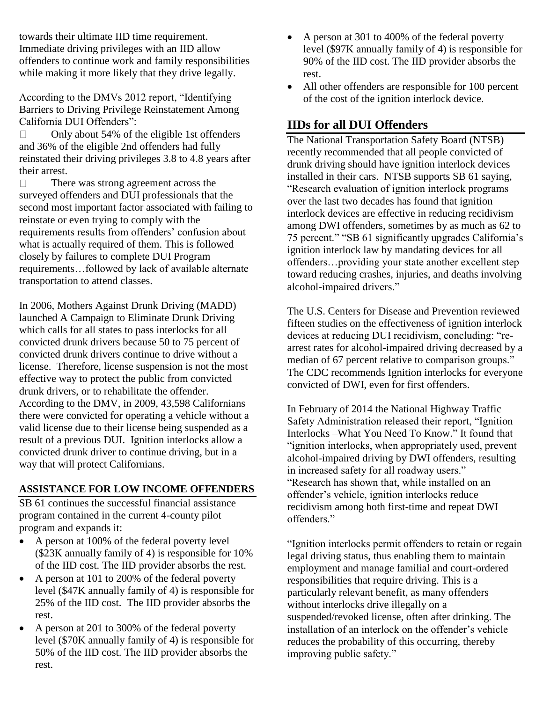towards their ultimate IID time requirement. Immediate driving privileges with an IID allow offenders to continue work and family responsibilities while making it more likely that they drive legally.

According to the DMVs 2012 report, "Identifying Barriers to Driving Privilege Reinstatement Among California DUI Offenders":

Only about 54% of the eligible 1st offenders  $\Box$ and 36% of the eligible 2nd offenders had fully reinstated their driving privileges 3.8 to 4.8 years after their arrest.

 $\Box$ There was strong agreement across the surveyed offenders and DUI professionals that the second most important factor associated with failing to reinstate or even trying to comply with the requirements results from offenders' confusion about what is actually required of them. This is followed closely by failures to complete DUI Program requirements…followed by lack of available alternate transportation to attend classes.

In 2006, Mothers Against Drunk Driving (MADD) launched A Campaign to Eliminate Drunk Driving which calls for all states to pass interlocks for all convicted drunk drivers because 50 to 75 percent of convicted drunk drivers continue to drive without a license. Therefore, license suspension is not the most effective way to protect the public from convicted drunk drivers, or to rehabilitate the offender. According to the DMV, in 2009, 43,598 Californians there were convicted for operating a vehicle without a valid license due to their license being suspended as a result of a previous DUI. Ignition interlocks allow a convicted drunk driver to continue driving, but in a way that will protect Californians.

#### **ASSISTANCE FOR LOW INCOME OFFENDERS**

SB 61 continues the successful financial assistance program contained in the current 4-county pilot program and expands it:

- A person at 100% of the federal poverty level (\$23K annually family of 4) is responsible for 10% of the IID cost. The IID provider absorbs the rest.
- A person at 101 to 200% of the federal poverty level (\$47K annually family of 4) is responsible for 25% of the IID cost. The IID provider absorbs the rest.
- A person at 201 to 300% of the federal poverty level (\$70K annually family of 4) is responsible for 50% of the IID cost. The IID provider absorbs the rest.
- A person at 301 to 400% of the federal poverty level (\$97K annually family of 4) is responsible for 90% of the IID cost. The IID provider absorbs the rest.
- All other offenders are responsible for 100 percent of the cost of the ignition interlock device.

# **IIDs for all DUI Offenders**

The National Transportation Safety Board (NTSB) recently recommended that all people convicted of drunk driving should have ignition interlock devices installed in their cars. NTSB supports SB 61 saying, "Research evaluation of ignition interlock programs over the last two decades has found that ignition interlock devices are effective in reducing recidivism among DWI offenders, sometimes by as much as 62 to 75 percent." "SB 61 significantly upgrades California's ignition interlock law by mandating devices for all offenders…providing your state another excellent step toward reducing crashes, injuries, and deaths involving alcohol-impaired drivers."

The U.S. Centers for Disease and Prevention reviewed fifteen studies on the effectiveness of ignition interlock devices at reducing DUI recidivism, concluding: "rearrest rates for alcohol-impaired driving decreased by a median of 67 percent relative to comparison groups." The CDC recommends Ignition interlocks for everyone convicted of DWI, even for first offenders.

In February of 2014 the National Highway Traffic Safety Administration released their report, "Ignition Interlocks –What You Need To Know." It found that "ignition interlocks, when appropriately used, prevent alcohol-impaired driving by DWI offenders, resulting in increased safety for all roadway users." "Research has shown that, while installed on an offender's vehicle, ignition interlocks reduce recidivism among both first-time and repeat DWI offenders."

"Ignition interlocks permit offenders to retain or regain legal driving status, thus enabling them to maintain employment and manage familial and court-ordered responsibilities that require driving. This is a particularly relevant benefit, as many offenders without interlocks drive illegally on a suspended/revoked license, often after drinking. The installation of an interlock on the offender's vehicle reduces the probability of this occurring, thereby improving public safety."